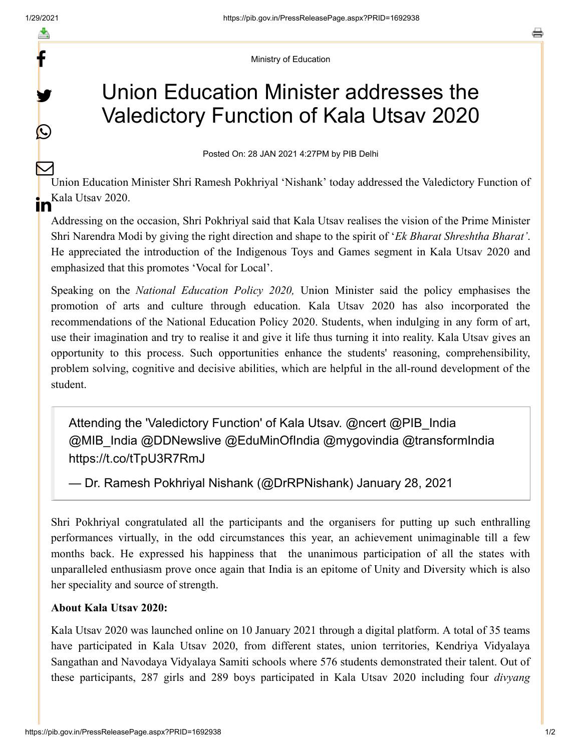f

y.

 $\bigcirc$ 

a

Ministry of Education

## Union Education Minister addresses the Valedictory Function of Kala Utsav 2020

Posted On: 28 JAN 2021 4:27PM by PIB Delhi

Union Education Minister Shri Ramesh Pokhriyal 'Nishank' today addressed the Valedictory Function of **in** <sup>Kala Utsav 2020.</sup>  $\bm{\nabla}$ 

Addressing on the occasion, Shri Pokhriyal said that Kala Utsav realises the vision of the Prime Minister Shri Narendra Modi by giving the right direction and shape to the spirit of '*Ek Bharat Shreshtha Bharat'*. He appreciated the introduction of the Indigenous Toys and Games segment in Kala Utsav 2020 and emphasized that this promotes 'Vocal for Local'.

Speaking on the *National Education Policy 2020,* Union Minister said the policy emphasises the promotion of arts and culture through education. Kala Utsav 2020 has also incorporated the recommendations of the National Education Policy 2020. Students, when indulging in any form of art, use their imagination and try to realise it and give it life thus turning it into reality. Kala Utsav gives an opportunity to this process. Such opportunities enhance the students' reasoning, comprehensibility, problem solving, cognitive and decisive abilities, which are helpful in the all-round development of the student.

Attending the 'Valedictory Function' of Kala Utsav. [@ncert](https://twitter.com/ncert?ref_src=twsrc%5Etfw) @PIB India [@MIB\\_India](https://twitter.com/MIB_India?ref_src=twsrc%5Etfw) [@DDNewslive](https://twitter.com/DDNewslive?ref_src=twsrc%5Etfw) [@EduMinOfIndia](https://twitter.com/EduMinOfIndia?ref_src=twsrc%5Etfw) [@mygovindia](https://twitter.com/mygovindia?ref_src=twsrc%5Etfw) [@transformIndia](https://twitter.com/transformIndia?ref_src=twsrc%5Etfw) <https://t.co/tTpU3R7RmJ>

— Dr. Ramesh Pokhriyal Nishank (@DrRPNishank) [January 28, 2021](https://twitter.com/DrRPNishank/status/1354677971575967748?ref_src=twsrc%5Etfw)

Shri Pokhriyal congratulated all the participants and the organisers for putting up such enthralling performances virtually, in the odd circumstances this year, an achievement unimaginable till a few months back. He expressed his happiness that the unanimous participation of all the states with unparalleled enthusiasm prove once again that India is an epitome of Unity and Diversity which is also her speciality and source of strength.

## **About Kala Utsav 2020:**

Kala Utsav 2020 was launched online on 10 January 2021 through a digital platform. A total of 35 teams have participated in Kala Utsav 2020, from different states, union territories, Kendriya Vidyalaya Sangathan and Navodaya Vidyalaya Samiti schools where 576 students demonstrated their talent. Out of these participants, 287 girls and 289 boys participated in Kala Utsav 2020 including four *divyang*